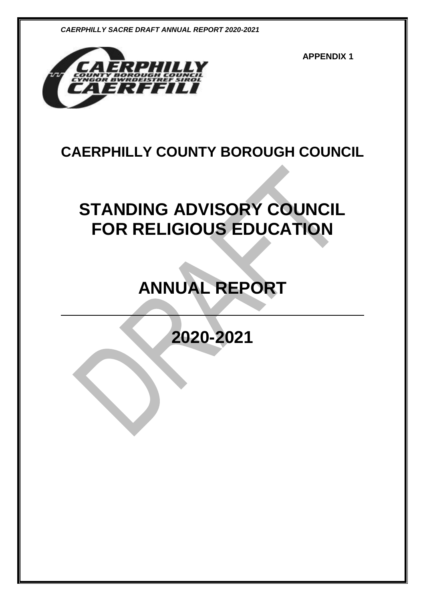

**APPENDIX 1**

# **CAERPHILLY COUNTY BOROUGH COUNCIL**

# **STANDING ADVISORY COUNCIL FOR RELIGIOUS EDUCATION**

# **ANNUAL REPORT**

**2020-2021**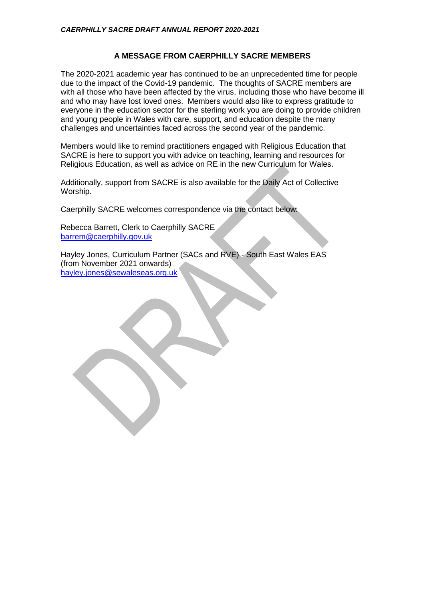# **A MESSAGE FROM CAERPHILLY SACRE MEMBERS**

The 2020-2021 academic year has continued to be an unprecedented time for people due to the impact of the Covid-19 pandemic. The thoughts of SACRE members are with all those who have been affected by the virus, including those who have become ill and who may have lost loved ones. Members would also like to express gratitude to everyone in the education sector for the sterling work you are doing to provide children and young people in Wales with care, support, and education despite the many challenges and uncertainties faced across the second year of the pandemic.

Members would like to remind practitioners engaged with Religious Education that SACRE is here to support you with advice on teaching, learning and resources for Religious Education, as well as advice on RE in the new Curriculum for Wales.

Additionally, support from SACRE is also available for the Daily Act of Collective Worship.

Caerphilly SACRE welcomes correspondence via the contact below:

Rebecca Barrett, Clerk to Caerphilly SACRE [barrem@caerphilly.gov.uk](mailto:barrem@caerphilly.gov.uk)

Hayley Jones, Curriculum Partner (SACs and RVE) - South East Wales EAS (from November 2021 onwards) [hayley.jones@sewaleseas.org.uk](mailto:hayley.jones@sewaleseas.org.uk)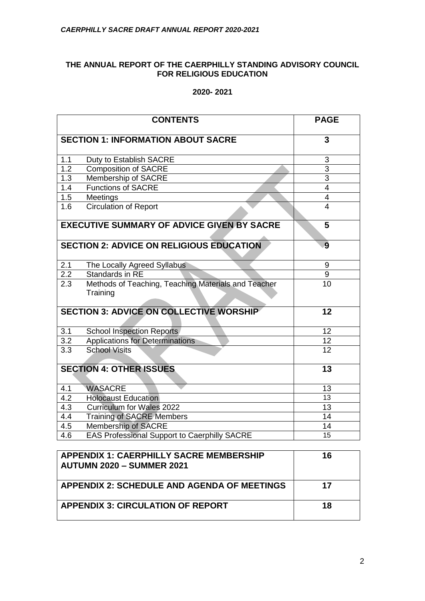# **THE ANNUAL REPORT OF THE CAERPHILLY STANDING ADVISORY COUNCIL FOR RELIGIOUS EDUCATION**

# **2020- 2021**

|                                                        | <b>CONTENTS</b>                                     | <b>PAGE</b>             |  |
|--------------------------------------------------------|-----------------------------------------------------|-------------------------|--|
| <b>SECTION 1: INFORMATION ABOUT SACRE</b>              |                                                     | 3                       |  |
| 1.1                                                    | Duty to Establish SACRE                             | 3                       |  |
| 1.2                                                    | <b>Composition of SACRE</b>                         | $\overline{3}$          |  |
| 1.3                                                    | Membership of SACRE                                 | $\overline{3}$          |  |
| 1.4                                                    | <b>Functions of SACRE</b>                           | $\overline{4}$          |  |
| 1.5                                                    | Meetings                                            | $\overline{\mathbf{4}}$ |  |
| 1.6                                                    | <b>Circulation of Report</b>                        | $\overline{4}$          |  |
| <b>EXECUTIVE SUMMARY OF ADVICE GIVEN BY SACRE</b><br>5 |                                                     |                         |  |
|                                                        | <b>SECTION 2: ADVICE ON RELIGIOUS EDUCATION</b>     | 9                       |  |
| 2.1                                                    | The Locally Agreed Syllabus                         | 9                       |  |
| 2.2                                                    | Standards in RE                                     | $\boldsymbol{9}$        |  |
| 2.3                                                    | Methods of Teaching, Teaching Materials and Teacher | 10                      |  |
|                                                        | Training                                            |                         |  |
| <b>SECTION 3: ADVICE ON COLLECTIVE WORSHIP</b>         |                                                     | 12                      |  |
| 3.1                                                    | <b>School Inspection Reports</b>                    | 12                      |  |
| 3.2                                                    | <b>Applications for Determinations</b>              | 12                      |  |
| 3.3                                                    | <b>School Visits</b>                                | 12                      |  |
|                                                        | <b>SECTION 4: OTHER ISSUES</b>                      | 13                      |  |
| 4.1                                                    | <b>WASACRE</b>                                      | 13                      |  |
| 4.2                                                    | <b>Holocaust Education</b>                          | 13                      |  |
| 4.3                                                    | <b>Curriculum for Wales 2022</b>                    | 13                      |  |
| 4.4                                                    | <b>Training of SACRE Members</b>                    | 14                      |  |
| 4.5                                                    | Membership of SACRE                                 | 14                      |  |
| 4.6                                                    | <b>EAS Professional Support to Caerphilly SACRE</b> | 15                      |  |
| <b>APPENDIX 1: CAFRPHII I Y SACRE MEMBERSHIP</b><br>16 |                                                     |                         |  |

| <b>APPENDIX 1: CAERPHILLY SACRE MEMBERSHIP</b><br>  AUTUMN 2020 – SUMMER 2021 | 16 |
|-------------------------------------------------------------------------------|----|
| APPENDIX 2: SCHEDULE AND AGENDA OF MEETINGS                                   | 17 |
| <b>APPENDIX 3: CIRCULATION OF REPORT</b>                                      | 18 |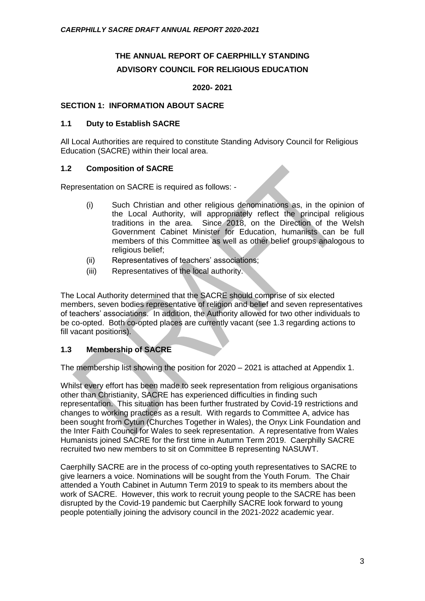# **THE ANNUAL REPORT OF CAERPHILLY STANDING ADVISORY COUNCIL FOR RELIGIOUS EDUCATION**

#### **2020- 2021**

#### **SECTION 1: INFORMATION ABOUT SACRE**

#### **1.1 Duty to Establish SACRE**

All Local Authorities are required to constitute Standing Advisory Council for Religious Education (SACRE) within their local area.

# **1.2 Composition of SACRE**

Representation on SACRE is required as follows: -

- (i) Such Christian and other religious denominations as, in the opinion of the Local Authority, will appropriately reflect the principal religious traditions in the area. Since 2018, on the Direction of the Welsh Government Cabinet Minister for Education, humanists can be full members of this Committee as well as other belief groups analogous to religious belief;
- (ii) Representatives of teachers' associations;
- (iii) Representatives of the local authority.

The Local Authority determined that the SACRE should comprise of six elected members, seven bodies representative of religion and belief and seven representatives of teachers' associations. In addition, the Authority allowed for two other individuals to be co-opted. Both co-opted places are currently vacant (see 1.3 regarding actions to fill vacant positions).

# **1.3 Membership of SACRE**

The membership list showing the position for 2020 – 2021 is attached at Appendix 1.

Whilst every effort has been made to seek representation from religious organisations other than Christianity, SACRE has experienced difficulties in finding such representation. This situation has been further frustrated by Covid-19 restrictions and changes to working practices as a result. With regards to Committee A, advice has been sought from Cytun (Churches Together in Wales), the Onyx Link Foundation and the Inter Faith Council for Wales to seek representation. A representative from Wales Humanists joined SACRE for the first time in Autumn Term 2019. Caerphilly SACRE recruited two new members to sit on Committee B representing NASUWT.

Caerphilly SACRE are in the process of co-opting youth representatives to SACRE to give learners a voice. Nominations will be sought from the Youth Forum. The Chair attended a Youth Cabinet in Autumn Term 2019 to speak to its members about the work of SACRE. However, this work to recruit young people to the SACRE has been disrupted by the Covid-19 pandemic but Caerphilly SACRE look forward to young people potentially joining the advisory council in the 2021-2022 academic year.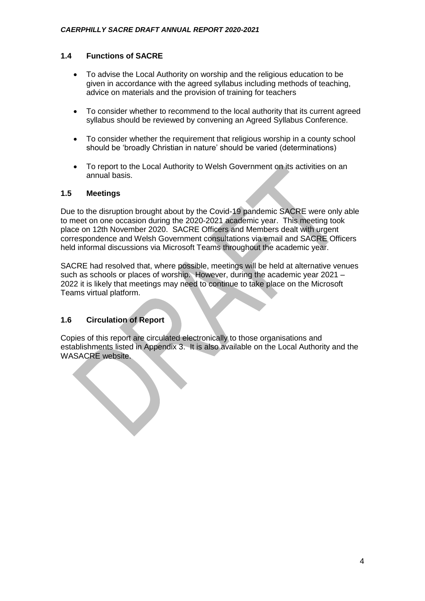# **1.4 Functions of SACRE**

- To advise the Local Authority on worship and the religious education to be given in accordance with the agreed syllabus including methods of teaching, advice on materials and the provision of training for teachers
- To consider whether to recommend to the local authority that its current agreed syllabus should be reviewed by convening an Agreed Syllabus Conference.
- To consider whether the requirement that religious worship in a county school should be 'broadly Christian in nature' should be varied (determinations)
- To report to the Local Authority to Welsh Government on its activities on an annual basis.

#### **1.5 Meetings**

Due to the disruption brought about by the Covid-19 pandemic SACRE were only able to meet on one occasion during the 2020-2021 academic year. This meeting took place on 12th November 2020. SACRE Officers and Members dealt with urgent correspondence and Welsh Government consultations via email and SACRE Officers held informal discussions via Microsoft Teams throughout the academic year.

SACRE had resolved that, where possible, meetings will be held at alternative venues such as schools or places of worship. However, during the academic year 2021 – 2022 it is likely that meetings may need to continue to take place on the Microsoft Teams virtual platform.

# **1.6 Circulation of Report**

Copies of this report are circulated electronically to those organisations and establishments listed in Appendix 3. It is also available on the Local Authority and the WASACRE website.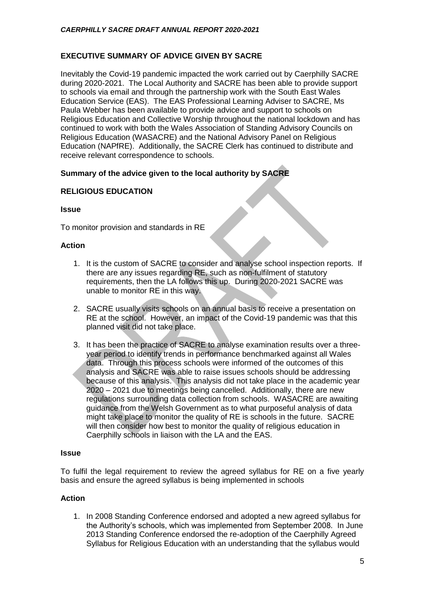# **EXECUTIVE SUMMARY OF ADVICE GIVEN BY SACRE**

Inevitably the Covid-19 pandemic impacted the work carried out by Caerphilly SACRE during 2020-2021. The Local Authority and SACRE has been able to provide support to schools via email and through the partnership work with the South East Wales Education Service (EAS). The EAS Professional Learning Adviser to SACRE, Ms Paula Webber has been available to provide advice and support to schools on Religious Education and Collective Worship throughout the national lockdown and has continued to work with both the Wales Association of Standing Advisory Councils on Religious Education (WASACRE) and the National Advisory Panel on Religious Education (NAPfRE). Additionally, the SACRE Clerk has continued to distribute and receive relevant correspondence to schools.

# **Summary of the advice given to the local authority by SACRE**

# **RELIGIOUS EDUCATION**

#### **Issue**

To monitor provision and standards in RE

#### **Action**

- 1. It is the custom of SACRE to consider and analyse school inspection reports. If there are any issues regarding RE, such as non-fulfilment of statutory requirements, then the LA follows this up. During 2020-2021 SACRE was unable to monitor RE in this way.
- 2. SACRE usually visits schools on an annual basis to receive a presentation on RE at the school. However, an impact of the Covid-19 pandemic was that this planned visit did not take place.
- 3. It has been the practice of SACRE to analyse examination results over a threeyear period to identify trends in performance benchmarked against all Wales data. Through this process schools were informed of the outcomes of this analysis and SACRE was able to raise issues schools should be addressing because of this analysis. This analysis did not take place in the academic year 2020 – 2021 due to meetings being cancelled. Additionally, there are new regulations surrounding data collection from schools. WASACRE are awaiting guidance from the Welsh Government as to what purposeful analysis of data might take place to monitor the quality of RE is schools in the future. SACRE will then consider how best to monitor the quality of religious education in Caerphilly schools in liaison with the LA and the EAS.

#### **Issue**

To fulfil the legal requirement to review the agreed syllabus for RE on a five yearly basis and ensure the agreed syllabus is being implemented in schools

# **Action**

1. In 2008 Standing Conference endorsed and adopted a new agreed syllabus for the Authority's schools, which was implemented from September 2008. In June 2013 Standing Conference endorsed the re-adoption of the Caerphilly Agreed Syllabus for Religious Education with an understanding that the syllabus would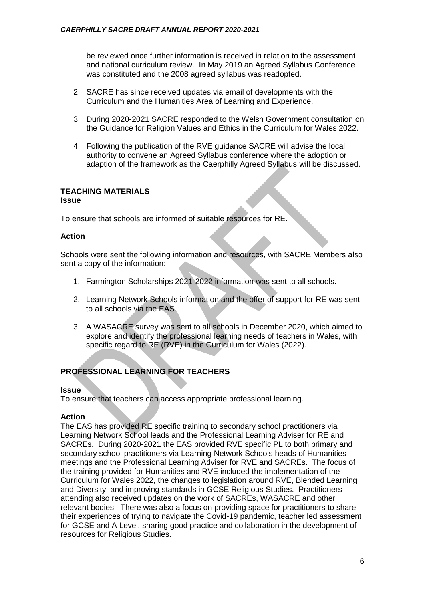be reviewed once further information is received in relation to the assessment and national curriculum review. In May 2019 an Agreed Syllabus Conference was constituted and the 2008 agreed syllabus was readopted.

- 2. SACRE has since received updates via email of developments with the Curriculum and the Humanities Area of Learning and Experience.
- 3. During 2020-2021 SACRE responded to the Welsh Government consultation on the Guidance for Religion Values and Ethics in the Curriculum for Wales 2022.
- 4. Following the publication of the RVE guidance SACRE will advise the local authority to convene an Agreed Syllabus conference where the adoption or adaption of the framework as the Caerphilly Agreed Syllabus will be discussed.

#### **TEACHING MATERIALS Issue**

To ensure that schools are informed of suitable resources for RE.

# **Action**

Schools were sent the following information and resources, with SACRE Members also sent a copy of the information:

- 1. Farmington Scholarships 2021-2022 information was sent to all schools.
- 2. Learning Network Schools information and the offer of support for RE was sent to all schools via the EAS.
- 3. A WASACRE survey was sent to all schools in December 2020, which aimed to explore and identify the professional learning needs of teachers in Wales, with specific regard to RE (RVE) in the Curriculum for Wales (2022).

# **PROFESSIONAL LEARNING FOR TEACHERS**

# **Issue**

To ensure that teachers can access appropriate professional learning.

# **Action**

The EAS has provided RE specific training to secondary school practitioners via Learning Network School leads and the Professional Learning Adviser for RE and SACREs. During 2020-2021 the EAS provided RVE specific PL to both primary and secondary school practitioners via Learning Network Schools heads of Humanities meetings and the Professional Learning Adviser for RVE and SACREs. The focus of the training provided for Humanities and RVE included the implementation of the Curriculum for Wales 2022, the changes to legislation around RVE, Blended Learning and Diversity, and improving standards in GCSE Religious Studies. Practitioners attending also received updates on the work of SACREs, WASACRE and other relevant bodies. There was also a focus on providing space for practitioners to share their experiences of trying to navigate the Covid-19 pandemic, teacher led assessment for GCSE and A Level, sharing good practice and collaboration in the development of resources for Religious Studies.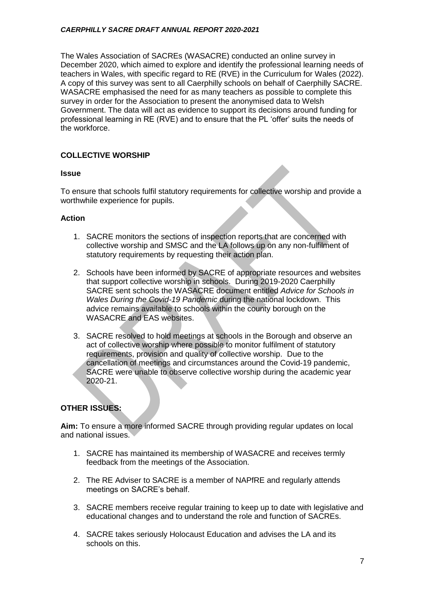The Wales Association of SACREs (WASACRE) conducted an online survey in December 2020, which aimed to explore and identify the professional learning needs of teachers in Wales, with specific regard to RE (RVE) in the Curriculum for Wales (2022). A copy of this survey was sent to all Caerphilly schools on behalf of Caerphilly SACRE. WASACRE emphasised the need for as many teachers as possible to complete this survey in order for the Association to present the anonymised data to Welsh Government. The data will act as evidence to support its decisions around funding for professional learning in RE (RVE) and to ensure that the PL 'offer' suits the needs of the workforce.

# **COLLECTIVE WORSHIP**

#### **Issue**

To ensure that schools fulfil statutory requirements for collective worship and provide a worthwhile experience for pupils.

# **Action**

- 1. SACRE monitors the sections of inspection reports that are concerned with collective worship and SMSC and the LA follows up on any non-fulfilment of statutory requirements by requesting their action plan.
- 2. Schools have been informed by SACRE of appropriate resources and websites that support collective worship in schools. During 2019-2020 Caerphilly SACRE sent schools the WASACRE document entitled *Advice for Schools in Wales During the Covid-19 Pandemic* during the national lockdown. This advice remains available to schools within the county borough on the WASACRE and EAS websites.
- 3. SACRE resolved to hold meetings at schools in the Borough and observe an act of collective worship where possible to monitor fulfilment of statutory requirements, provision and quality of collective worship. Due to the cancellation of meetings and circumstances around the Covid-19 pandemic, SACRE were unable to observe collective worship during the academic year 2020-21.

# **OTHER ISSUES:**

**Aim:** To ensure a more informed SACRE through providing regular updates on local and national issues.

- 1. SACRE has maintained its membership of WASACRE and receives termly feedback from the meetings of the Association.
- 2. The RE Adviser to SACRE is a member of NAPfRE and regularly attends meetings on SACRE's behalf.
- 3. SACRE members receive regular training to keep up to date with legislative and educational changes and to understand the role and function of SACREs.
- 4. SACRE takes seriously Holocaust Education and advises the LA and its schools on this.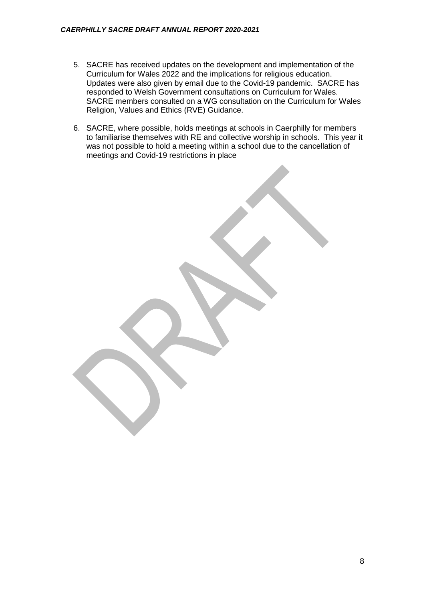- 5. SACRE has received updates on the development and implementation of the Curriculum for Wales 2022 and the implications for religious education. Updates were also given by email due to the Covid-19 pandemic. SACRE has responded to Welsh Government consultations on Curriculum for Wales. SACRE members consulted on a WG consultation on the Curriculum for Wales Religion, Values and Ethics (RVE) Guidance.
- 6. SACRE, where possible, holds meetings at schools in Caerphilly for members to familiarise themselves with RE and collective worship in schools. This year it was not possible to hold a meeting within a school due to the cancellation of meetings and Covid-19 restrictions in place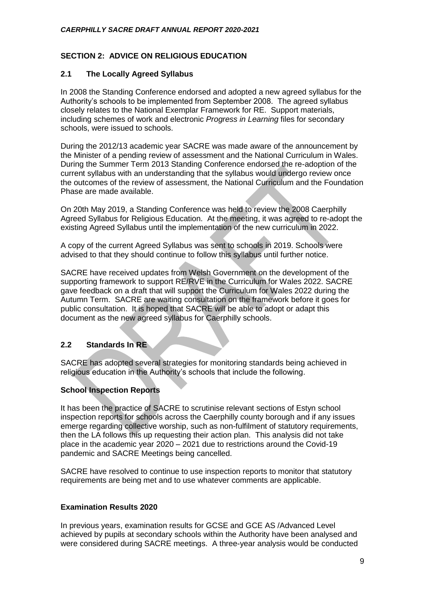# **SECTION 2: ADVICE ON RELIGIOUS EDUCATION**

# **2.1 The Locally Agreed Syllabus**

In 2008 the Standing Conference endorsed and adopted a new agreed syllabus for the Authority's schools to be implemented from September 2008. The agreed syllabus closely relates to the National Exemplar Framework for RE. Support materials, including schemes of work and electronic *Progress in Learning* files for secondary schools, were issued to schools.

During the 2012/13 academic year SACRE was made aware of the announcement by the Minister of a pending review of assessment and the National Curriculum in Wales. During the Summer Term 2013 Standing Conference endorsed the re-adoption of the current syllabus with an understanding that the syllabus would undergo review once the outcomes of the review of assessment, the National Curriculum and the Foundation Phase are made available.

On 20th May 2019, a Standing Conference was held to review the 2008 Caerphilly Agreed Syllabus for Religious Education. At the meeting, it was agreed to re-adopt the existing Agreed Syllabus until the implementation of the new curriculum in 2022.

A copy of the current Agreed Syllabus was sent to schools in 2019. Schools were advised to that they should continue to follow this syllabus until further notice.

SACRE have received updates from Welsh Government on the development of the supporting framework to support RE/RVE in the Curriculum for Wales 2022. SACRE gave feedback on a draft that will support the Curriculum for Wales 2022 during the Autumn Term. SACRE are waiting consultation on the framework before it goes for public consultation. It is hoped that SACRE will be able to adopt or adapt this document as the new agreed syllabus for Caerphilly schools.

# **2.2 Standards In RE**

SACRE has adopted several strategies for monitoring standards being achieved in religious education in the Authority's schools that include the following.

# **School Inspection Reports**

It has been the practice of SACRE to scrutinise relevant sections of Estyn school inspection reports for schools across the Caerphilly county borough and if any issues emerge regarding collective worship, such as non-fulfilment of statutory requirements, then the LA follows this up requesting their action plan. This analysis did not take place in the academic year 2020 – 2021 due to restrictions around the Covid-19 pandemic and SACRE Meetings being cancelled.

SACRE have resolved to continue to use inspection reports to monitor that statutory requirements are being met and to use whatever comments are applicable.

# **Examination Results 2020**

In previous years, examination results for GCSE and GCE AS /Advanced Level achieved by pupils at secondary schools within the Authority have been analysed and were considered during SACRE meetings. A three-year analysis would be conducted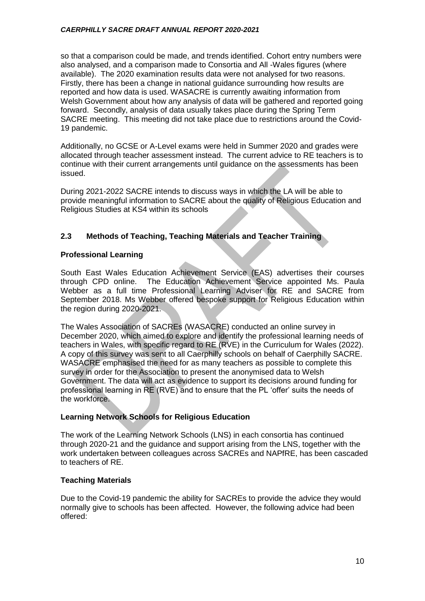so that a comparison could be made, and trends identified. Cohort entry numbers were also analysed, and a comparison made to Consortia and All -Wales figures (where available). The 2020 examination results data were not analysed for two reasons. Firstly, there has been a change in national guidance surrounding how results are reported and how data is used. WASACRE is currently awaiting information from Welsh Government about how any analysis of data will be gathered and reported going forward. Secondly, analysis of data usually takes place during the Spring Term SACRE meeting. This meeting did not take place due to restrictions around the Covid-19 pandemic.

Additionally, no GCSE or A-Level exams were held in Summer 2020 and grades were allocated through teacher assessment instead. The current advice to RE teachers is to continue with their current arrangements until guidance on the assessments has been issued.

During 2021-2022 SACRE intends to discuss ways in which the LA will be able to provide meaningful information to SACRE about the quality of Religious Education and Religious Studies at KS4 within its schools

# **2.3 Methods of Teaching, Teaching Materials and Teacher Training**

# **Professional Learning**

South East Wales Education Achievement Service (EAS) advertises their courses through CPD online. The Education Achievement Service appointed Ms. Paula Webber as a full time Professional Learning Adviser for RE and SACRE from September 2018. Ms Webber offered bespoke support for Religious Education within the region during 2020-2021.

The Wales Association of SACREs (WASACRE) conducted an online survey in December 2020, which aimed to explore and identify the professional learning needs of teachers in Wales, with specific regard to RE (RVE) in the Curriculum for Wales (2022). A copy of this survey was sent to all Caerphilly schools on behalf of Caerphilly SACRE. WASACRE emphasised the need for as many teachers as possible to complete this survey in order for the Association to present the anonymised data to Welsh Government. The data will act as evidence to support its decisions around funding for professional learning in RE (RVE) and to ensure that the PL 'offer' suits the needs of the workforce.

# **Learning Network Schools for Religious Education**

The work of the Learning Network Schools (LNS) in each consortia has continued through 2020-21 and the guidance and support arising from the LNS, together with the work undertaken between colleagues across SACREs and NAPfRE, has been cascaded to teachers of RE.

# **Teaching Materials**

Due to the Covid-19 pandemic the ability for SACREs to provide the advice they would normally give to schools has been affected. However, the following advice had been offered: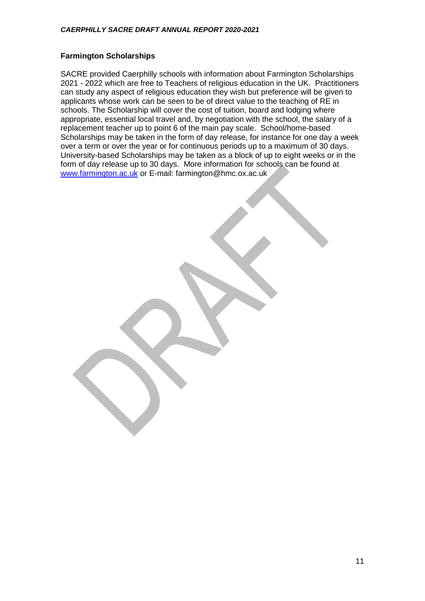# **Farmington Scholarships**

SACRE provided Caerphilly schools with information about Farmington Scholarships 2021 - 2022 which are free to Teachers of religious education in the UK. Practitioners can study any aspect of religious education they wish but preference will be given to applicants whose work can be seen to be of direct value to the teaching of RE in schools. The Scholarship will cover the cost of tuition, board and lodging where appropriate, essential local travel and, by negotiation with the school, the salary of a replacement teacher up to point 6 of the main pay scale. School/home-based Scholarships may be taken in the form of day release, for instance for one day a week over a term or over the year or for continuous periods up to a maximum of 30 days. University-based Scholarships may be taken as a block of up to eight weeks or in the form of day release up to 30 days. More information for schools can be found at [www.farmington.ac.uk](http://www.farmington.ac.uk/) or E-mail: farmington@hmc.ox.ac.uk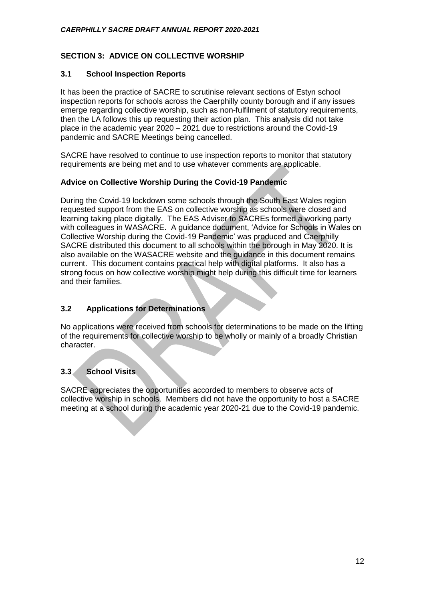# **SECTION 3: ADVICE ON COLLECTIVE WORSHIP**

# **3.1 School Inspection Reports**

It has been the practice of SACRE to scrutinise relevant sections of Estyn school inspection reports for schools across the Caerphilly county borough and if any issues emerge regarding collective worship, such as non-fulfilment of statutory requirements, then the LA follows this up requesting their action plan. This analysis did not take place in the academic year 2020 – 2021 due to restrictions around the Covid-19 pandemic and SACRE Meetings being cancelled.

SACRE have resolved to continue to use inspection reports to monitor that statutory requirements are being met and to use whatever comments are applicable.

# **Advice on Collective Worship During the Covid-19 Pandemic**

During the Covid-19 lockdown some schools through the South East Wales region requested support from the EAS on collective worship as schools were closed and learning taking place digitally. The EAS Adviser to SACREs formed a working party with colleagues in WASACRE. A guidance document, 'Advice for Schools in Wales on Collective Worship during the Covid-19 Pandemic' was produced and Caerphilly SACRE distributed this document to all schools within the borough in May 2020. It is also available on the WASACRE website and the guidance in this document remains current. This document contains practical help with digital platforms. It also has a strong focus on how collective worship might help during this difficult time for learners and their families.

# **3.2 Applications for Determinations**

No applications were received from schools for determinations to be made on the lifting of the requirements for collective worship to be wholly or mainly of a broadly Christian character.

# **3.3 School Visits**

SACRE appreciates the opportunities accorded to members to observe acts of collective worship in schools. Members did not have the opportunity to host a SACRE meeting at a school during the academic year 2020-21 due to the Covid-19 pandemic.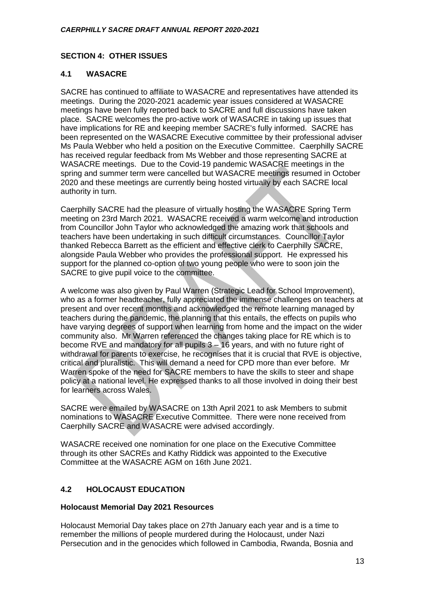# **SECTION 4: OTHER ISSUES**

# **4.1 WASACRE**

SACRE has continued to affiliate to WASACRE and representatives have attended its meetings. During the 2020-2021 academic year issues considered at WASACRE meetings have been fully reported back to SACRE and full discussions have taken place. SACRE welcomes the pro-active work of WASACRE in taking up issues that have implications for RE and keeping member SACRE's fully informed. SACRE has been represented on the WASACRE Executive committee by their professional adviser Ms Paula Webber who held a position on the Executive Committee. Caerphilly SACRE has received regular feedback from Ms Webber and those representing SACRE at WASACRE meetings. Due to the Covid-19 pandemic WASACRE meetings in the spring and summer term were cancelled but WASACRE meetings resumed in October 2020 and these meetings are currently being hosted virtually by each SACRE local authority in turn.

Caerphilly SACRE had the pleasure of virtually hosting the WASACRE Spring Term meeting on 23rd March 2021. WASACRE received a warm welcome and introduction from Councillor John Taylor who acknowledged the amazing work that schools and teachers have been undertaking in such difficult circumstances. Councillor Taylor thanked Rebecca Barrett as the efficient and effective clerk to Caerphilly SACRE, alongside Paula Webber who provides the professional support. He expressed his support for the planned co-option of two young people who were to soon join the SACRE to give pupil voice to the committee.

A welcome was also given by Paul Warren (Strategic Lead for School Improvement), who as a former headteacher, fully appreciated the immense challenges on teachers at present and over recent months and acknowledged the remote learning managed by teachers during the pandemic, the planning that this entails, the effects on pupils who have varying degrees of support when learning from home and the impact on the wider community also. Mr Warren referenced the changes taking place for RE which is to become RVE and mandatory for all pupils 3 – 16 years, and with no future right of withdrawal for parents to exercise, he recognises that it is crucial that RVE is objective, critical and pluralistic. This will demand a need for CPD more than ever before. Mr Warren spoke of the need for SACRE members to have the skills to steer and shape policy at a national level. He expressed thanks to all those involved in doing their best for learners across Wales.

SACRE were emailed by WASACRE on 13th April 2021 to ask Members to submit nominations to WASACRE Executive Committee. There were none received from Caerphilly SACRE and WASACRE were advised accordingly.

WASACRE received one nomination for one place on the Executive Committee through its other SACREs and Kathy Riddick was appointed to the Executive Committee at the WASACRE AGM on 16th June 2021.

# **4.2 HOLOCAUST EDUCATION**

# **Holocaust Memorial Day 2021 Resources**

Holocaust Memorial Day takes place on 27th January each year and is a time to remember the millions of people murdered during the Holocaust, under Nazi Persecution and in the genocides which followed in Cambodia, Rwanda, Bosnia and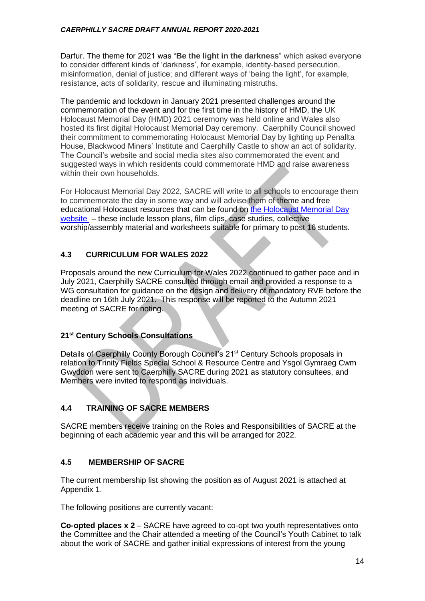Darfur. The theme for 2021 was "**Be the light in the darkness**" which asked everyone to consider different kinds of 'darkness', for example, identity-based persecution, misinformation, denial of justice; and different ways of 'being the light', for example, resistance, acts of solidarity, rescue and illuminating mistruths.

The pandemic and lockdown in January 2021 presented challenges around the commemoration of the event and for the first time in the history of HMD, the UK Holocaust Memorial Day (HMD) 2021 ceremony was held online and Wales also hosted its first digital Holocaust Memorial Day ceremony. Caerphilly Council showed their commitment to commemorating Holocaust Memorial Day by lighting up Penallta House, Blackwood Miners' Institute and Caerphilly Castle to show an act of solidarity. The Council's website and social media sites also commemorated the event and suggested ways in which residents could commemorate HMD and raise awareness within their own households.

For Holocaust Memorial Day 2022, SACRE will write to all schools to encourage them to commemorate the day in some way and will advise them of theme and free educational Holocaust resources that can be found on [the Holocaust Memorial Day](http://www.hmd.org.uk/)  [website](http://www.hmd.org.uk/) – these include lesson plans, film clips, case studies, collective worship/assembly material and worksheets suitable for primary to post 16 students.

# **4.3 CURRICULUM FOR WALES 2022**

Proposals around the new Curriculum for Wales 2022 continued to gather pace and in July 2021, Caerphilly SACRE consulted through email and provided a response to a WG consultation for guidance on the design and delivery of mandatory RVE before the deadline on 16th July 2021. This response will be reported to the Autumn 2021 meeting of SACRE for noting.

# **21st Century Schools Consultations**

Details of Caerphilly County Borough Council's 21<sup>st</sup> Century Schools proposals in relation to Trinity Fields Special School & Resource Centre and Ysgol Gymraeg Cwm Gwyddon were sent to Caerphilly SACRE during 2021 as statutory consultees, and Members were invited to respond as individuals.

# **4.4 TRAINING OF SACRE MEMBERS**

SACRE members receive training on the Roles and Responsibilities of SACRE at the beginning of each academic year and this will be arranged for 2022.

# **4.5 MEMBERSHIP OF SACRE**

The current membership list showing the position as of August 2021 is attached at Appendix 1.

The following positions are currently vacant:

**Co-opted places x 2** – SACRE have agreed to co-opt two youth representatives onto the Committee and the Chair attended a meeting of the Council's Youth Cabinet to talk about the work of SACRE and gather initial expressions of interest from the young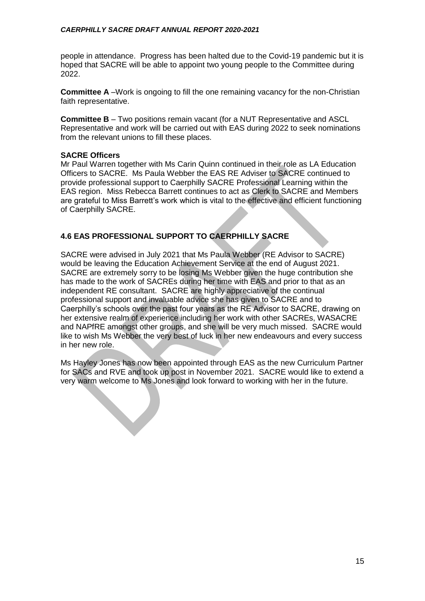people in attendance. Progress has been halted due to the Covid-19 pandemic but it is hoped that SACRE will be able to appoint two young people to the Committee during 2022.

**Committee A** –Work is ongoing to fill the one remaining vacancy for the non-Christian faith representative.

**Committee B** – Two positions remain vacant (for a NUT Representative and ASCL Representative and work will be carried out with EAS during 2022 to seek nominations from the relevant unions to fill these places.

# **SACRE Officers**

Mr Paul Warren together with Ms Carin Quinn continued in their role as LA Education Officers to SACRE. Ms Paula Webber the EAS RE Adviser to SACRE continued to provide professional support to Caerphilly SACRE Professional Learning within the EAS region. Miss Rebecca Barrett continues to act as Clerk to SACRE and Members are grateful to Miss Barrett's work which is vital to the effective and efficient functioning of Caerphilly SACRE.

# **4.6 EAS PROFESSIONAL SUPPORT TO CAERPHILLY SACRE**

SACRE were advised in July 2021 that Ms Paula Webber (RE Advisor to SACRE) would be leaving the Education Achievement Service at the end of August 2021. SACRE are extremely sorry to be losing Ms Webber given the huge contribution she has made to the work of SACREs during her time with EAS and prior to that as an independent RE consultant. SACRE are highly appreciative of the continual professional support and invaluable advice she has given to SACRE and to Caerphilly's schools over the past four years as the RE Advisor to SACRE, drawing on her extensive realm of experience including her work with other SACREs, WASACRE and NAPfRE amongst other groups, and she will be very much missed. SACRE would like to wish Ms Webber the very best of luck in her new endeavours and every success in her new role.

Ms Hayley Jones has now been appointed through EAS as the new Curriculum Partner for SACs and RVE and took up post in November 2021. SACRE would like to extend a very warm welcome to Ms Jones and look forward to working with her in the future.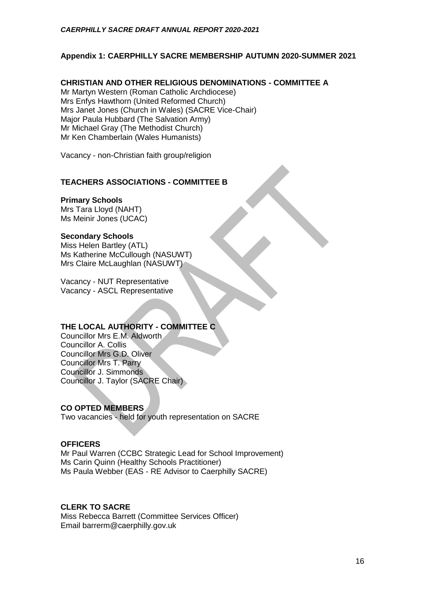# **Appendix 1: CAERPHILLY SACRE MEMBERSHIP AUTUMN 2020-SUMMER 2021**

# **CHRISTIAN AND OTHER RELIGIOUS DENOMINATIONS - COMMITTEE A**

Mr Martyn Western (Roman Catholic Archdiocese) Mrs Enfys Hawthorn (United Reformed Church) Mrs Janet Jones (Church in Wales) (SACRE Vice-Chair) Major Paula Hubbard (The Salvation Army) Mr Michael Gray (The Methodist Church) Mr Ken Chamberlain (Wales Humanists)

Vacancy - non-Christian faith group/religion

# **TEACHERS ASSOCIATIONS - COMMITTEE B**

# **Primary Schools**

Mrs Tara Lloyd (NAHT) Ms Meinir Jones (UCAC)

#### **Secondary Schools**

Miss Helen Bartley (ATL) Ms Katherine McCullough (NASUWT) Mrs Claire McLaughlan (NASUWT)

Vacancy - NUT Representative Vacancy - ASCL Representative

# **THE LOCAL AUTHORITY - COMMITTEE C**

Councillor Mrs E.M. Aldworth Councillor A. Collis Councillor Mrs G.D. Oliver Councillor Mrs T. Parry Councillor J. Simmonds Councillor J. Taylor (SACRE Chair)

# **CO OPTED MEMBERS**

Two vacancies - held for youth representation on SACRE

# **OFFICERS**

Mr Paul Warren (CCBC Strategic Lead for School Improvement) Ms Carin Quinn (Healthy Schools Practitioner) Ms Paula Webber (EAS - RE Advisor to Caerphilly SACRE)

# **CLERK TO SACRE**

Miss Rebecca Barrett (Committee Services Officer) Email barrerm@caerphilly.gov.uk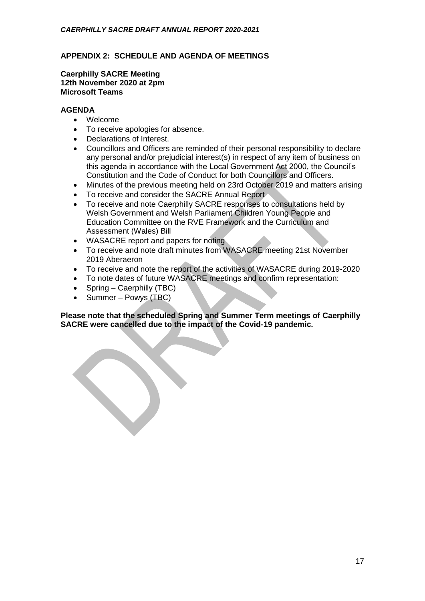# **APPENDIX 2: SCHEDULE AND AGENDA OF MEETINGS**

#### **Caerphilly SACRE Meeting 12th November 2020 at 2pm Microsoft Teams**

# **AGENDA**

- Welcome
- To receive apologies for absence.
- Declarations of Interest.
- Councillors and Officers are reminded of their personal responsibility to declare any personal and/or prejudicial interest(s) in respect of any item of business on this agenda in accordance with the Local Government Act 2000, the Council's Constitution and the Code of Conduct for both Councillors and Officers.
- Minutes of the previous meeting held on 23rd October 2019 and matters arising
- To receive and consider the SACRE Annual Report
- To receive and note Caerphilly SACRE responses to consultations held by Welsh Government and Welsh Parliament Children Young People and Education Committee on the RVE Framework and the Curriculum and Assessment (Wales) Bill
- WASACRE report and papers for noting
- To receive and note draft minutes from WASACRE meeting 21st November 2019 Aberaeron
- To receive and note the report of the activities of WASACRE during 2019-2020
- To note dates of future WASACRE meetings and confirm representation:
- $\bullet$  Spring Caerphilly (TBC)
- Summer Powys (TBC)

**Please note that the scheduled Spring and Summer Term meetings of Caerphilly SACRE were cancelled due to the impact of the Covid-19 pandemic.**